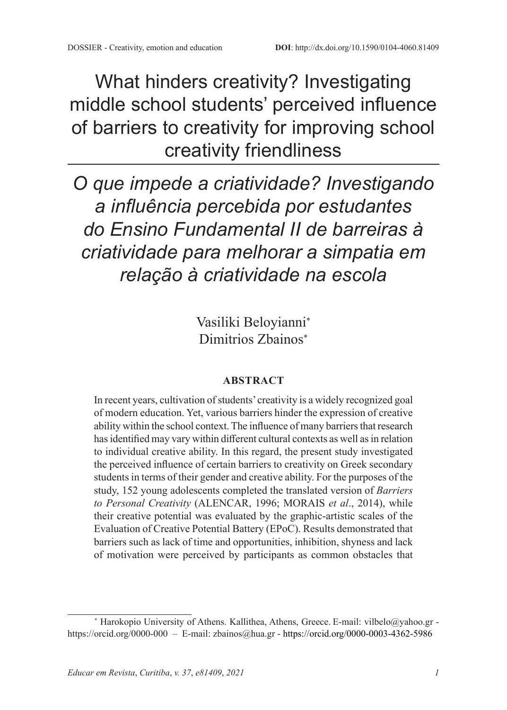What hinders creativity? Investigating middle school students' perceived influence of barriers to creativity for improving school creativity friendliness

*O que impede a criatividade? Investigando a influência percebida por estudantes do Ensino Fundamental II de barreiras à criatividade para melhorar a simpatia em relação à criatividade na escola*

> Vasiliki Beloyianni<sup>∗</sup> Dimitrios Zbainos<sup>∗</sup>

#### **ABSTRACT**

In recent years, cultivation of students' creativity is a widely recognized goal of modern education. Yet, various barriers hinder the expression of creative ability within the school context. The influence of many barriers that research has identified may vary within different cultural contexts as well as in relation to individual creative ability. In this regard, the present study investigated the perceived influence of certain barriers to creativity on Greek secondary students in terms of their gender and creative ability. For the purposes of the study, 152 young adolescents completed the translated version of *Barriers to Personal Creativity* (ALENCAR, 1996; MORAIS *et al*., 2014), while their creative potential was evaluated by the graphic-artistic scales of the Evaluation of Creative Potential Battery (EPoC). Results demonstrated that barriers such as lack of time and opportunities, inhibition, shyness and lack of motivation were perceived by participants as common obstacles that

<sup>\*</sup> Harokopio University of Athens. Kallithea, Athens, Greece. E-mail: vilbelo@yahoo.gr https://orcid.org/0000-000 – E-mail: zbainos@hua.gr - https://orcid.org/0000-0003-4362-5986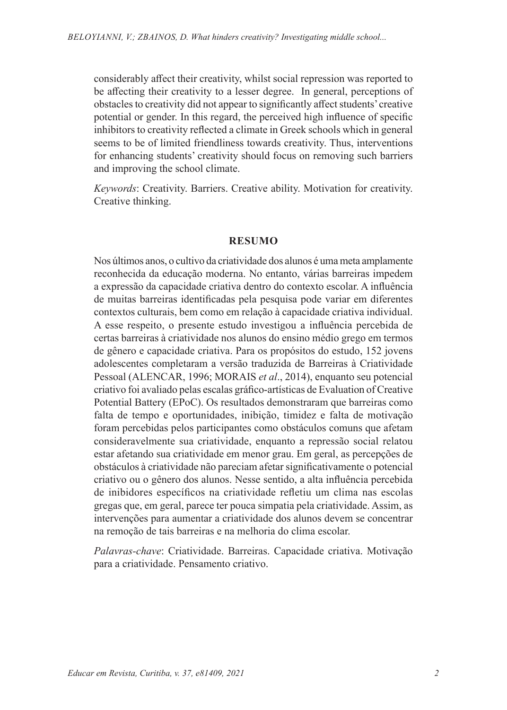considerably affect their creativity, whilst social repression was reported to be affecting their creativity to a lesser degree. In general, perceptions of obstacles to creativity did not appear to significantly affect students' creative potential or gender. In this regard, the perceived high influence of specific inhibitors to creativity reflected a climate in Greek schools which in general seems to be of limited friendliness towards creativity. Thus, interventions for enhancing students' creativity should focus on removing such barriers and improving the school climate.

*Keywords*: Creativity. Barriers. Creative ability. Motivation for creativity. Creative thinking.

#### **RESUMO**

Nos últimos anos, o cultivo da criatividade dos alunos é uma meta amplamente reconhecida da educação moderna. No entanto, várias barreiras impedem a expressão da capacidade criativa dentro do contexto escolar. A influência de muitas barreiras identificadas pela pesquisa pode variar em diferentes contextos culturais, bem como em relação à capacidade criativa individual. A esse respeito, o presente estudo investigou a influência percebida de certas barreiras à criatividade nos alunos do ensino médio grego em termos de gênero e capacidade criativa. Para os propósitos do estudo, 152 jovens adolescentes completaram a versão traduzida de Barreiras à Criatividade Pessoal (ALENCAR, 1996; MORAIS *et al*., 2014), enquanto seu potencial criativo foi avaliado pelas escalas gráfico-artísticas de Evaluation of Creative Potential Battery (EPoC). Os resultados demonstraram que barreiras como falta de tempo e oportunidades, inibição, timidez e falta de motivação foram percebidas pelos participantes como obstáculos comuns que afetam consideravelmente sua criatividade, enquanto a repressão social relatou estar afetando sua criatividade em menor grau. Em geral, as percepções de obstáculos à criatividade não pareciam afetar significativamente o potencial criativo ou o gênero dos alunos. Nesse sentido, a alta influência percebida de inibidores específicos na criatividade refletiu um clima nas escolas gregas que, em geral, parece ter pouca simpatia pela criatividade. Assim, as intervenções para aumentar a criatividade dos alunos devem se concentrar na remoção de tais barreiras e na melhoria do clima escolar.

*Palavras-chave*: Criatividade. Barreiras. Capacidade criativa. Motivação para a criatividade. Pensamento criativo.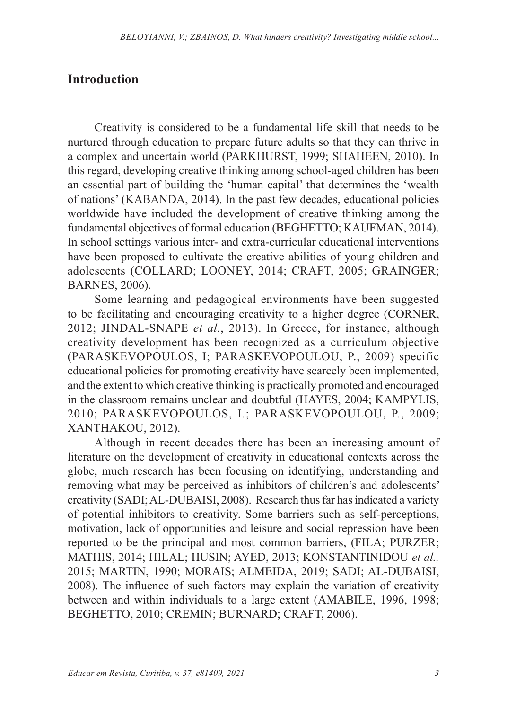### **Introduction**

Creativity is considered to be a fundamental life skill that needs to be nurtured through education to prepare future adults so that they can thrive in a complex and uncertain world (PARKHURST, 1999; SHAHEEN, 2010). In this regard, developing creative thinking among school-aged children has been an essential part of building the 'human capital' that determines the 'wealth of nations' (KABANDA, 2014). In the past few decades, educational policies worldwide have included the development of creative thinking among the fundamental objectives of formal education (BEGHETTO; KAUFMAN, 2014). In school settings various inter- and extra-curricular educational interventions have been proposed to cultivate the creative abilities of young children and adolescents (COLLARD; LOONEY, 2014; CRAFT, 2005; GRAINGER; BARNES, 2006).

Some learning and pedagogical environments have been suggested to be facilitating and encouraging creativity to a higher degree (CORNER, 2012; JINDAL-SNAPE *et al.*, 2013). In Greece, for instance, although creativity development has been recognized as a curriculum objective (PARASKEVOPOULOS, I; PARASKEVOPOULOU, P., 2009) specific educational policies for promoting creativity have scarcely been implemented, and the extent to which creative thinking is practically promoted and encouraged in the classroom remains unclear and doubtful (HAYES, 2004; KAMPYLIS, 2010; PARASKEVOPOULOS, I.; PARASKEVOPOULOU, P., 2009; XANTHAKOU, 2012).

Although in recent decades there has been an increasing amount of literature on the development of creativity in educational contexts across the globe, much research has been focusing on identifying, understanding and removing what may be perceived as inhibitors of children's and adolescents' creativity (SADI; AL‐DUBAISI, 2008). Research thus far has indicated a variety of potential inhibitors to creativity. Some barriers such as self-perceptions, motivation, lack of opportunities and leisure and social repression have been reported to be the principal and most common barriers, (FILA; PURZER; MATHIS, 2014; HILAL; HUSIN; AYED, 2013; KONSTANTINIDOU *et al.,* 2015; MARTIN, 1990; MORAIS; ALMEIDA, 2019; SADI; AL-DUBAISI, 2008). The influence of such factors may explain the variation of creativity between and within individuals to a large extent (AMABILE, 1996, 1998; BEGHETTO, 2010; CREMIN; BURNARD; CRAFT, 2006).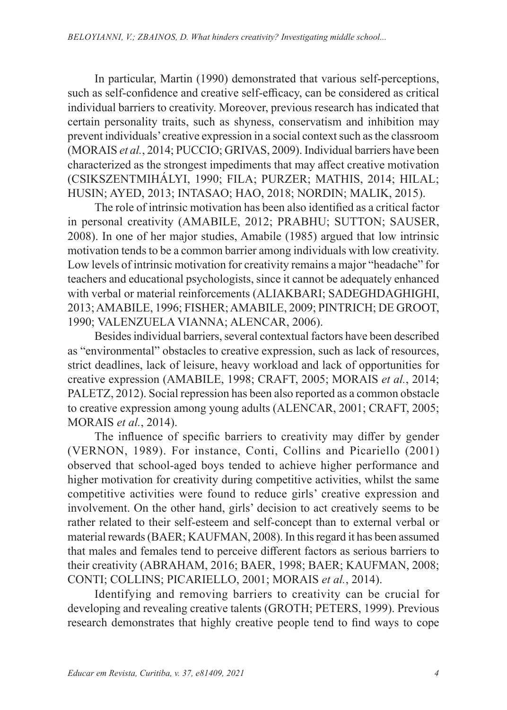In particular, Martin (1990) demonstrated that various self-perceptions, such as self-confidence and creative self-efficacy, can be considered as critical individual barriers to creativity. Moreover, previous research has indicated that certain personality traits, such as shyness, conservatism and inhibition may prevent individuals' creative expression in a social context such as the classroom (MORAIS *et al.*, 2014; PUCCIO; GRIVAS, 2009). Individual barriers have been characterized as the strongest impediments that may affect creative motivation (CSIKSZENTMIHÁLYI, 1990; FILA; PURZER; MATHIS, 2014; HILAL; HUSIN; AYED, 2013; INTASAO; HAO, 2018; NORDIN; MALIK, 2015).

Τhe role of intrinsic motivation has been also identified as a critical factor in personal creativity (AMABILE, 2012; PRABHU; SUTTON; SAUSER, 2008). In one of her major studies, Amabile (1985) argued that low intrinsic motivation tends to be a common barrier among individuals with low creativity. Low levels of intrinsic motivation for creativity remains a major "headache" for teachers and educational psychologists, since it cannot be adequately enhanced with verbal or material reinforcements (ALIAKBARI; SADEGHDAGHIGHI, 2013; AMABILE, 1996; FISHER; AMABILE, 2009; PINTRICH; DE GROOT, 1990; VALENZUELA VIANNA; ALENCAR, 2006).

Besides individual barriers, several contextual factors have been described as "environmental" obstacles to creative expression, such as lack of resources, strict deadlines, lack of leisure, heavy workload and lack of opportunities for creative expression (AMABILE, 1998; CRAFT, 2005; MORAIS *et al.*, 2014; PALETZ, 2012). Social repression has been also reported as a common obstacle to creative expression among young adults (ALENCAR, 2001; CRAFT, 2005; MORAIS *et al.*, 2014).

The influence of specific barriers to creativity may differ by gender (VERNON, 1989). For instance, Conti, Collins and Picariello (2001) observed that school-aged boys tended to achieve higher performance and higher motivation for creativity during competitive activities, whilst the same competitive activities were found to reduce girls' creative expression and involvement. On the other hand, girls' decision to act creatively seems to be rather related to their self-esteem and self-concept than to external verbal or material rewards (BAER; KAUFMAN, 2008). In this regard it has been assumed that males and females tend to perceive different factors as serious barriers to their creativity (ABRAHAM, 2016; BAER, 1998; BAER; KAUFMAN, 2008; CONTI; COLLINS; PICARIELLO, 2001; MORAIS *et al.*, 2014).

Identifying and removing barriers to creativity can be crucial for developing and revealing creative talents (GROTH; PETERS, 1999). Previous research demonstrates that highly creative people tend to find ways to cope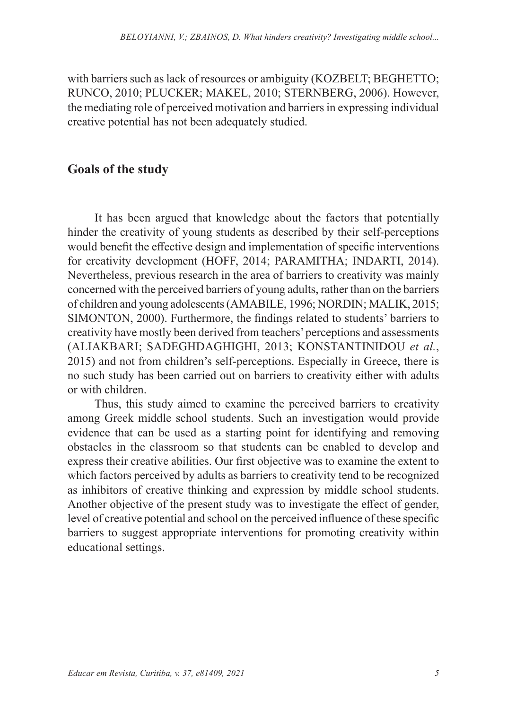with barriers such as lack of resources or ambiguity (KOZBELT; BEGHETTO; RUNCO, 2010; PLUCKER; MAKEL, 2010; STERNBERG, 2006). However, the mediating role of perceived motivation and barriers in expressing individual creative potential has not been adequately studied.

### **Goals of the study**

It has been argued that knowledge about the factors that potentially hinder the creativity of young students as described by their self-perceptions would benefit the effective design and implementation of specific interventions for creativity development (HOFF, 2014; PARAMITHA; INDARTI, 2014). Nevertheless, previous research in the area of barriers to creativity was mainly concerned with the perceived barriers of young adults, rather than on the barriers of children and young adolescents (AMABILE, 1996; NORDIN; MALIK, 2015; SIMONTON, 2000). Furthermore, the findings related to students' barriers to creativity have mostly been derived from teachers' perceptions and assessments (ALIAKBARI; SADEGHDAGHIGHI, 2013; KONSTANTINIDOU *et al.*, 2015) and not from children's self-perceptions. Especially in Greece, there is no such study has been carried out on barriers to creativity either with adults or with children.

Thus, this study aimed to examine the perceived barriers to creativity among Greek middle school students. Such an investigation would provide evidence that can be used as a starting point for identifying and removing obstacles in the classroom so that students can be enabled to develop and express their creative abilities. Our first objective was to examine the extent to which factors perceived by adults as barriers to creativity tend to be recognized as inhibitors of creative thinking and expression by middle school students. Another objective of the present study was to investigate the effect of gender, level of creative potential and school on the perceived influence of these specific barriers to suggest appropriate interventions for promoting creativity within educational settings.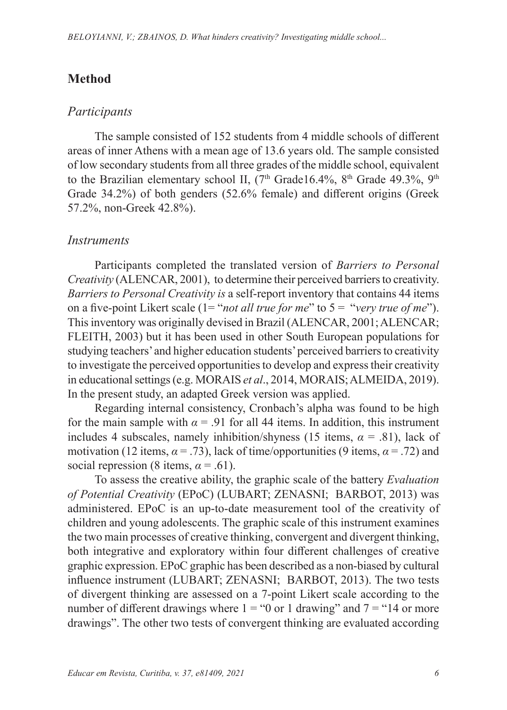## **Method**

#### *Participants*

The sample consisted of 152 students from 4 middle schools of different areas of inner Athens with a mean age of 13.6 years old. The sample consisted of low secondary students from all three grades of the middle school, equivalent to the Brazilian elementary school II,  $(7<sup>th</sup> Grade16.4\%, 8<sup>th</sup> Grade 49.3\%, 9<sup>th</sup>$ Grade 34.2%) of both genders (52.6% female) and different origins (Greek 57.2%, non-Greek 42.8%).

### *Instruments*

Participants completed the translated version of *Barriers to Personal Creativity* (ALENCAR, 2001), to determine their perceived barriers to creativity. *Barriers to Personal Creativity is* a self-report inventory that contains 44 items on a five-point Likert scale (1= "*not all true for me*" to 5 = "*very true of me*"). This inventory was originally devised in Brazil (ALENCAR, 2001; ALENCAR; FLEITH, 2003) but it has been used in other South European populations for studying teachers' and higher education students' perceived barriers to creativity to investigate the perceived opportunities to develop and express their creativity in educational settings (e.g. MORAIS *et al*., 2014, MORAIS; ALMEIDA, 2019). In the present study, an adapted Greek version was applied.

Regarding internal consistency, Cronbach's alpha was found to be high for the main sample with  $\alpha = .91$  for all 44 items. In addition, this instrument includes 4 subscales, namely inhibition/shyness (15 items,  $\alpha$  = .81), lack of motivation (12 items,  $\alpha = .73$ ), lack of time/opportunities (9 items,  $\alpha = .72$ ) and social repression (8 items,  $\alpha$  = .61).

To assess the creative ability, the graphic scale of the battery *Evaluation of Potential Creativity* (EPoC) (LUBART; ZENASNI; BARBOT, 2013) was administered. EPoC is an up-to-date measurement tool of the creativity of children and young adolescents. The graphic scale of this instrument examines the two main processes of creative thinking, convergent and divergent thinking, both integrative and exploratory within four different challenges of creative graphic expression. EPoC graphic has been described as a non-biased by cultural influence instrument (LUBART; ZENASNI; BARBOT, 2013). The two tests of divergent thinking are assessed on a 7-point Likert scale according to the number of different drawings where  $1 = 0$  or 1 drawing" and  $7 = 14$  or more drawings". The other two tests of convergent thinking are evaluated according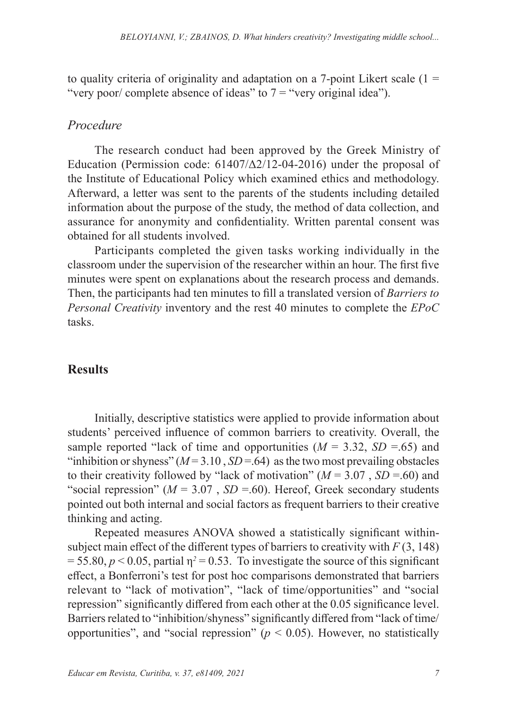to quality criteria of originality and adaptation on a 7-point Likert scale  $(1 =$ "very poor/ complete absence of ideas" to  $7 =$  "very original idea").

#### *Procedure*

The research conduct had been approved by the Greek Ministry of Education (Permission code:  $61407/\Delta/12$ -04-2016) under the proposal of the Institute of Educational Policy which examined ethics and methodology. Afterward, a letter was sent to the parents of the students including detailed information about the purpose of the study, the method of data collection, and assurance for anonymity and confidentiality. Written parental consent was obtained for all students involved.

Participants completed the given tasks working individually in the classroom under the supervision of the researcher within an hour. The first five minutes were spent on explanations about the research process and demands. Then, the participants had ten minutes to fill a translated version of *Barriers to Personal Creativity* inventory and the rest 40 minutes to complete the *EPoC* tasks.

#### **Results**

Initially, descriptive statistics were applied to provide information about students' perceived influence of common barriers to creativity. Overall, the sample reported "lack of time and opportunities  $(M = 3.32, SD = .65)$  and "inhibition or shyness"  $(M=3.10, SD=64)$  as the two most prevailing obstacles to their creativity followed by "lack of motivation" ( $M = 3.07$ ,  $SD = .60$ ) and "social repression" ( $M = 3.07$ ,  $SD = .60$ ). Hereof, Greek secondary students pointed out both internal and social factors as frequent barriers to their creative thinking and acting.

Repeated measures ANOVA showed a statistically significant withinsubject main effect of the different types of barriers to creativity with  $F(3, 148)$  $= 55.80, p \le 0.05$ , partial  $\eta^2 = 0.53$ . To investigate the source of this significant effect, a Bonferroni's test for post hoc comparisons demonstrated that barriers relevant to "lack of motivation", "lack of time/opportunities" and "social repression" significantly differed from each other at the 0.05 significance level. Barriers related to "inhibition/shyness" significantly differed from "lack of time/ opportunities", and "social repression" ( $p \le 0.05$ ). However, no statistically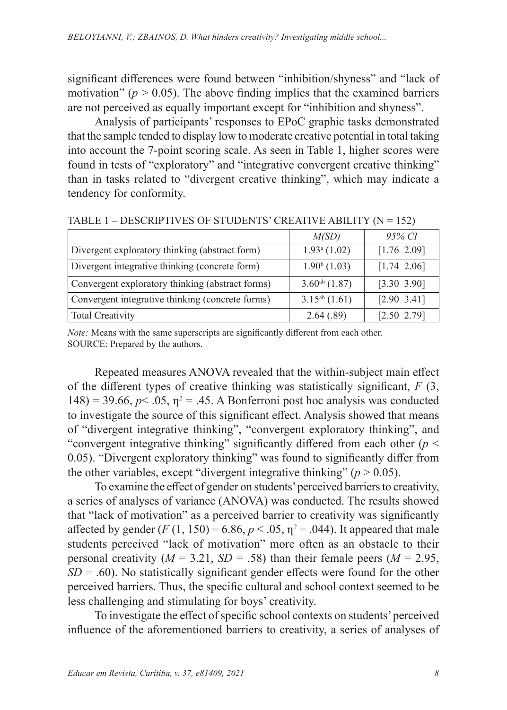significant differences were found between "inhibition/shyness" and "lack of motivation" ( $p > 0.05$ ). The above finding implies that the examined barriers are not perceived as equally important except for "inhibition and shyness".

Analysis of participants' responses to EPoC graphic tasks demonstrated that the sample tended to display low to moderate creative potential in total taking into account the 7-point scoring scale. As seen in Table 1, higher scores were found in tests of "exploratory" and "integrative convergent creative thinking" than in tasks related to "divergent creative thinking", which may indicate a tendency for conformity.

|                                                  | M(SD)              | 95% CI           |
|--------------------------------------------------|--------------------|------------------|
| Divergent exploratory thinking (abstract form)   | $1.93a$ (1.02)     | [1.76 2.09]      |
| Divergent integrative thinking (concrete form)   | $1.90b$ (1.03)     | $[1.74 \ 2.06]$  |
| Convergent exploratory thinking (abstract forms) | $3.60^{ab}$ (1.87) | $[3.30 \; 3.90]$ |
| Convergent integrative thinking (concrete forms) | $3.15^{ab}$ (1.61) | $[2.90 \; 3.41]$ |
| Total Creativity                                 | 2.64(.89)          | [2.50 2.79]      |

TABLE  $1 -$  DESCRIPTIVES OF STUDENTS' CREATIVE ABILITY ( $N = 152$ )

*Note:* Means with the same superscripts are significantly different from each other. SOURCE: Prepared by the authors.

Repeated measures ANOVA revealed that the within-subject main effect of the different types of creative thinking was statistically significant, *F* (3, 148) = 39.66,  $p$ < .05,  $\eta$ <sup>2</sup> = .45. A Bonferroni post hoc analysis was conducted to investigate the source of this significant effect. Analysis showed that means of "divergent integrative thinking", "convergent exploratory thinking", and "convergent integrative thinking" significantly differed from each other ( $p <$ 0.05). "Divergent exploratory thinking" was found to significantly differ from the other variables, except "divergent integrative thinking" ( $p > 0.05$ ).

To examine the effect of gender on students' perceived barriers to creativity, a series of analyses of variance (ANOVA) was conducted. The results showed that "lack of motivation" as a perceived barrier to creativity was significantly affected by gender  $(F(1, 150) = 6.86, p < .05, \eta^2 = .044)$ . It appeared that male students perceived "lack of motivation" more often as an obstacle to their personal creativity ( $M = 3.21$ ,  $SD = .58$ ) than their female peers ( $M = 2.95$ ,  $SD = .60$ ). No statistically significant gender effects were found for the other perceived barriers. Thus, the specific cultural and school context seemed to be less challenging and stimulating for boys' creativity.

To investigate the effect of specific school contexts on students' perceived influence of the aforementioned barriers to creativity, a series of analyses of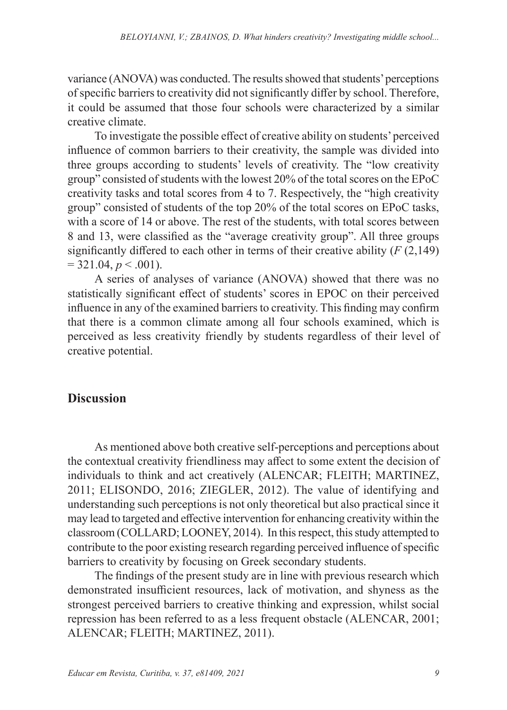variance (ANOVA) was conducted. The results showed that students' perceptions of specific barriers to creativity did not significantly differ by school. Therefore, it could be assumed that those four schools were characterized by a similar creative climate.

To investigate the possible effect of creative ability on students' perceived influence of common barriers to their creativity, the sample was divided into three groups according to students' levels of creativity. The "low creativity group" consisted of students with the lowest 20% of the total scores on the EPoC creativity tasks and total scores from 4 to 7. Respectively, the "high creativity group" consisted of students of the top 20% of the total scores on EPoC tasks, with a score of 14 or above. The rest of the students, with total scores between 8 and 13, were classified as the "average creativity group". All three groups significantly differed to each other in terms of their creative ability (*F* (2,149)  $= 321.04, p \le 0.001$ .

A series of analyses of variance (ANOVA) showed that there was no statistically significant effect of students' scores in EPOC on their perceived influence in any of the examined barriers to creativity. This finding may confirm that there is a common climate among all four schools examined, which is perceived as less creativity friendly by students regardless of their level of creative potential.

### **Discussion**

As mentioned above both creative self-perceptions and perceptions about the contextual creativity friendliness may affect to some extent the decision of individuals to think and act creatively (ALENCAR; FLEITH; MARTINEZ, 2011; ELISONDO, 2016; ZIEGLER, 2012). The value of identifying and understanding such perceptions is not only theoretical but also practical since it may lead to targeted and effective intervention for enhancing creativity within the classroom (COLLARD; LOONEY, 2014). In this respect, this study attempted to contribute to the poor existing research regarding perceived influence of specific barriers to creativity by focusing on Greek secondary students.

The findings of the present study are in line with previous research which demonstrated insufficient resources, lack of motivation, and shyness as the strongest perceived barriers to creative thinking and expression, whilst social repression has been referred to as a less frequent obstacle (ALENCAR, 2001; ALENCAR; FLEITH; MARTINEZ, 2011).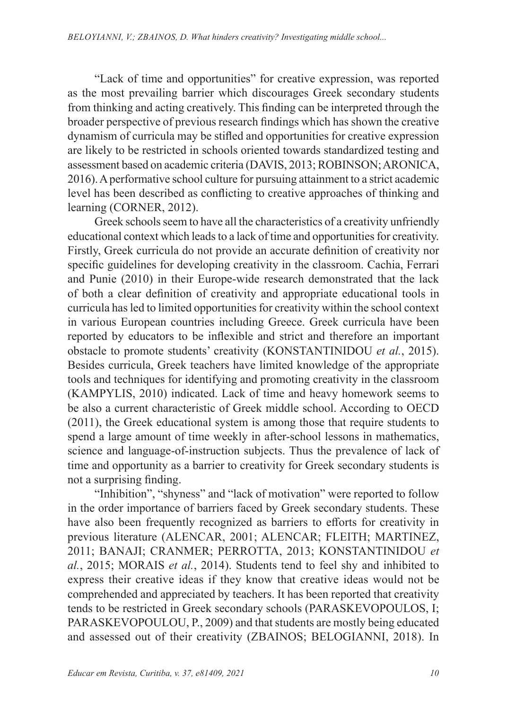"Lack of time and opportunities" for creative expression, was reported as the most prevailing barrier which discourages Greek secondary students from thinking and acting creatively. This finding can be interpreted through the broader perspective of previous research findings which has shown the creative dynamism of curricula may be stifled and opportunities for creative expression are likely to be restricted in schools oriented towards standardized testing and assessment based on academic criteria (DAVIS, 2013; ROBINSON; ARONICA, 2016). A performative school culture for pursuing attainment to a strict academic level has been described as conflicting to creative approaches of thinking and learning (CORNER, 2012).

Greek schools seem to have all the characteristics of a creativity unfriendly educational context which leads to a lack of time and opportunities for creativity. Firstly, Greek curricula do not provide an accurate definition of creativity nor specific guidelines for developing creativity in the classroom. Cachia, Ferrari and Punie (2010) in their Europe-wide research demonstrated that the lack of both a clear definition of creativity and appropriate educational tools in curricula has led to limited opportunities for creativity within the school context in various European countries including Greece. Greek curricula have been reported by educators to be inflexible and strict and therefore an important obstacle to promote students' creativity (KONSTANTINIDOU *et al.*, 2015). Besides curricula, Greek teachers have limited knowledge of the appropriate tools and techniques for identifying and promoting creativity in the classroom (KAMPYLIS, 2010) indicated. Lack of time and heavy homework seems to be also a current characteristic of Greek middle school. According to OECD (2011), the Greek educational system is among those that require students to spend a large amount of time weekly in after-school lessons in mathematics, science and language-of-instruction subjects. Thus the prevalence of lack of time and opportunity as a barrier to creativity for Greek secondary students is not a surprising finding.

"Inhibition", "shyness" and "lack of motivation" were reported to follow in the order importance of barriers faced by Greek secondary students. These have also been frequently recognized as barriers to efforts for creativity in previous literature (ALENCAR, 2001; ALENCAR; FLEITH; MARTINEZ, 2011; BANAJI; CRANMER; PERROTTA, 2013; KONSTANTINIDOU *et al.*, 2015; MORAIS *et al.*, 2014). Students tend to feel shy and inhibited to express their creative ideas if they know that creative ideas would not be comprehended and appreciated by teachers. It has been reported that creativity tends to be restricted in Greek secondary schools (PARASKEVOPOULOS, I; PARASKEVOPOULOU, P., 2009) and that students are mostly being educated and assessed out of their creativity (ZBAINOS; BELOGIANNI, 2018). In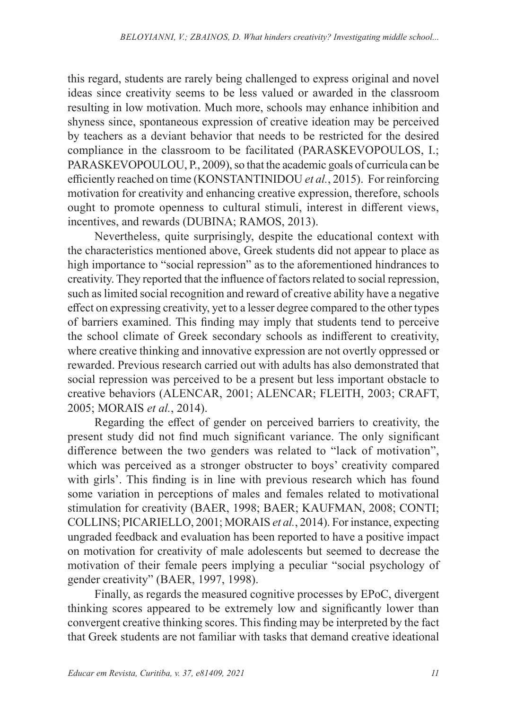this regard, students are rarely being challenged to express original and novel ideas since creativity seems to be less valued or awarded in the classroom resulting in low motivation. Much more, schools may enhance inhibition and shyness since, spontaneous expression of creative ideation may be perceived by teachers as a deviant behavior that needs to be restricted for the desired compliance in the classroom to be facilitated (PARASKEVOPOULOS, I.; PARASKEVOPOULOU, P., 2009), so that the academic goals of curricula can be efficiently reached on time (KONSTANTINIDOU *et al.*, 2015). For reinforcing motivation for creativity and enhancing creative expression, therefore, schools ought to promote openness to cultural stimuli, interest in different views, incentives, and rewards (DUBINA; RAMOS, 2013).

Nevertheless, quite surprisingly, despite the educational context with the characteristics mentioned above, Greek students did not appear to place as high importance to "social repression" as to the aforementioned hindrances to creativity. They reported that the influence of factors related to social repression, such as limited social recognition and reward of creative ability have a negative effect on expressing creativity, yet to a lesser degree compared to the other types of barriers examined. This finding may imply that students tend to perceive the school climate of Greek secondary schools as indifferent to creativity, where creative thinking and innovative expression are not overtly oppressed or rewarded. Previous research carried out with adults has also demonstrated that social repression was perceived to be a present but less important obstacle to creative behaviors (ALENCAR, 2001; ALENCAR; FLEITH, 2003; CRAFT, 2005; MORAIS *et al.*, 2014).

Regarding the effect of gender on perceived barriers to creativity, the present study did not find much significant variance. The only significant difference between the two genders was related to "lack of motivation", which was perceived as a stronger obstructer to boys' creativity compared with girls'. This finding is in line with previous research which has found some variation in perceptions of males and females related to motivational stimulation for creativity (BAER, 1998; BAER; KAUFMAN, 2008; CONTI; COLLINS; PICARIELLO, 2001; MORAIS *et al.*, 2014). For instance, expecting ungraded feedback and evaluation has been reported to have a positive impact on motivation for creativity of male adolescents but seemed to decrease the motivation of their female peers implying a peculiar "social psychology of gender creativity" (BAER, 1997, 1998).

Finally, as regards the measured cognitive processes by EPoC, divergent thinking scores appeared to be extremely low and significantly lower than convergent creative thinking scores. This finding may be interpreted by the fact that Greek students are not familiar with tasks that demand creative ideational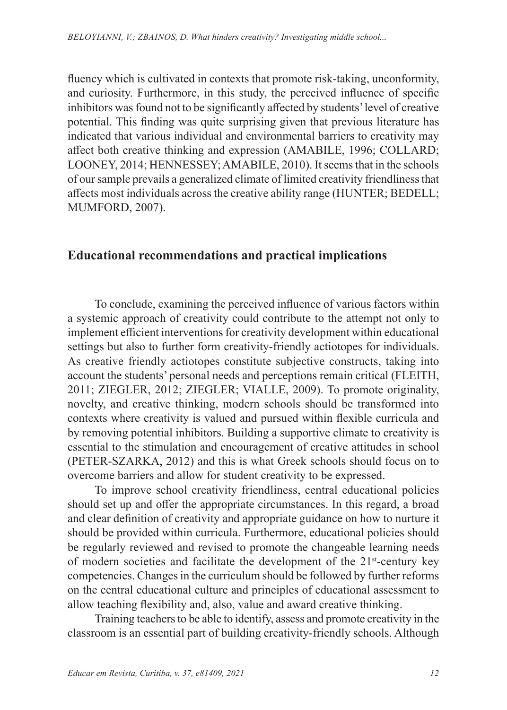fluency which is cultivated in contexts that promote risk-taking, unconformity, and curiosity. Furthermore, in this study, the perceived influence of specific inhibitors was found not to be significantly affected by students' level of creative potential. This finding was quite surprising given that previous literature has indicated that various individual and environmental barriers to creativity may affect both creative thinking and expression (AMABILE, 1996; COLLARD; LOONEY, 2014; HENNESSEY; AMABILE, 2010). It seems that in the schools of our sample prevails a generalized climate of limited creativity friendliness that affects most individuals across the creative ability range (HUNTER; BEDELL; MUMFORD, 2007).

## **Educational recommendations and practical implications**

To conclude, examining the perceived influence of various factors within a systemic approach of creativity could contribute to the attempt not only to implement efficient interventions for creativity development within educational settings but also to further form creativity-friendly actiotopes for individuals. As creative friendly actiotopes constitute subjective constructs, taking into account the students' personal needs and perceptions remain critical (FLEITH, 2011; ZIEGLER, 2012; ZIEGLER; VIALLE, 2009). To promote originality, novelty, and creative thinking, modern schools should be transformed into contexts where creativity is valued and pursued within flexible curricula and by removing potential inhibitors. Building a supportive climate to creativity is essential to the stimulation and encouragement of creative attitudes in school (PETER-SZARKA, 2012) and this is what Greek schools should focus on to overcome barriers and allow for student creativity to be expressed.

To improve school creativity friendliness, central educational policies should set up and offer the appropriate circumstances. In this regard, a broad and clear definition of creativity and appropriate guidance on how to nurture it should be provided within curricula. Furthermore, educational policies should be regularly reviewed and revised to promote the changeable learning needs of modern societies and facilitate the development of the 21st-century key competencies. Changes in the curriculum should be followed by further reforms on the central educational culture and principles of educational assessment to allow teaching flexibility and, also, value and award creative thinking.

Training teachers to be able to identify, assess and promote creativity in the classroom is an essential part of building creativity-friendly schools. Although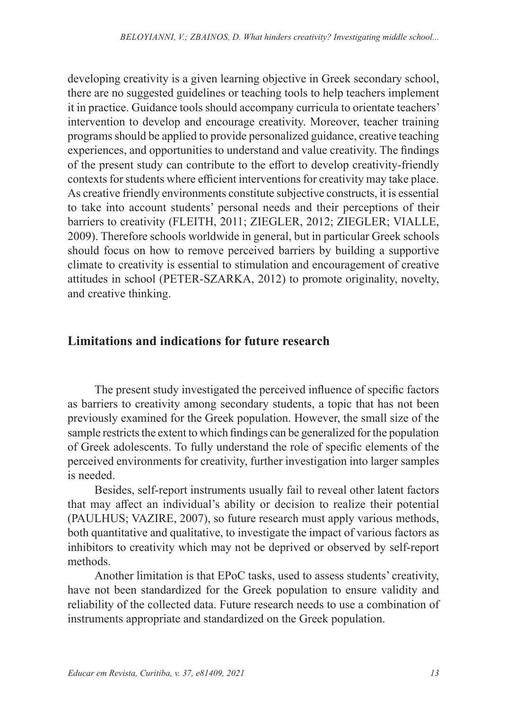developing creativity is a given learning objective in Greek secondary school, there are no suggested guidelines or teaching tools to help teachers implement it in practice. Guidance tools should accompany curricula to orientate teachers' intervention to develop and encourage creativity. Moreover, teacher training programs should be applied to provide personalized guidance, creative teaching experiences, and opportunities to understand and value creativity. The findings of the present study can contribute to the effort to develop creativity-friendly contexts for students where efficient interventions for creativity may take place. As creative friendly environments constitute subjective constructs, it is essential to take into account students' personal needs and their perceptions of their barriers to creativity (FLEITH, 2011; ZIEGLER, 2012; ZIEGLER; VIALLE, 2009). Therefore schools worldwide in general, but in particular Greek schools should focus on how to remove perceived barriers by building a supportive climate to creativity is essential to stimulation and encouragement of creative attitudes in school (PETER-SZARKA, 2012) to promote originality, novelty, and creative thinking.

### **Limitations and indications for future research**

The present study investigated the perceived influence of specific factors as barriers to creativity among secondary students, a topic that has not been previously examined for the Greek population. However, the small size of the sample restricts the extent to which findings can be generalized for the population of Greek adolescents. To fully understand the role of specific elements of the perceived environments for creativity, further investigation into larger samples is needed.

Besides, self-report instruments usually fail to reveal other latent factors that may affect an individual's ability or decision to realize their potential (PAULHUS; VAZIRE, 2007), so future research must apply various methods, both quantitative and qualitative, to investigate the impact of various factors as inhibitors to creativity which may not be deprived or observed by self-report methods.

Another limitation is that EPoC tasks, used to assess students' creativity, have not been standardized for the Greek population to ensure validity and reliability of the collected data. Future research needs to use a combination of instruments appropriate and standardized on the Greek population.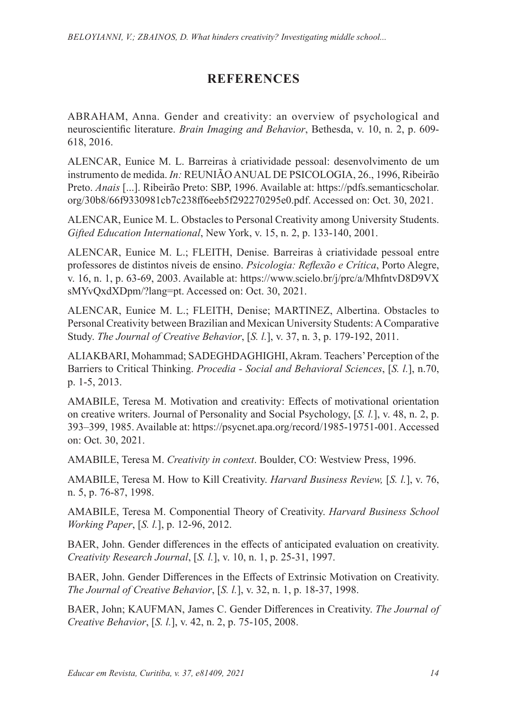# **REFERENCES**

ABRAHAM, Anna. Gender and creativity: an overview of psychological and neuroscientific literature. *Brain Imaging and Behavior*, Bethesda, v. 10, n. 2, p. 609- 618, 2016.

ALENCAR, Eunice M. L. Barreiras à criatividade pessoal: desenvolvimento de um instrumento de medida. *In:* REUNIÃO ANUAL DE PSICOLOGIA, 26., 1996, Ribeirão Preto. *Anais* [...]. Ribeirão Preto: SBP, 1996. Available at: https://pdfs.semanticscholar. org/30b8/66f9330981cb7c238ff6eeb5f292270295e0.pdf. Accessed on: Oct. 30, 2021.

ALENCAR, Eunice M. L. Obstacles to Personal Creativity among University Students. *Gifted Education International*, New York, v. 15, n. 2, p. 133-140, 2001.

ALENCAR, Eunice M. L.; FLEITH, Denise. Barreiras à criatividade pessoal entre professores de distintos níveis de ensino. *Psicologia: Reflexão e Crítica*, Porto Alegre, v. 16, n. 1, p. 63-69, 2003. Available at: https://www.scielo.br/j/prc/a/MhfntvD8D9VX sMYvQxdXDpm/?lang=pt. Accessed on: Oct. 30, 2021.

ALENCAR, Eunice M. L.; FLEITH, Denise; MARTINEZ, Albertina. Obstacles to Personal Creativity between Brazilian and Mexican University Students: A Comparative Study. *The Journal of Creative Behavior*, [*S. l.*], v. 37, n. 3, p. 179-192, 2011.

ALIAKBARI, Mohammad; SADEGHDAGHIGHI, Akram. Teachers' Perception of the Barriers to Critical Thinking. *Procedia - Social and Behavioral Sciences*, [*S. l.*], n.70, p. 1-5, 2013.

AMABILE, Teresa M. Motivation and creativity: Effects of motivational orientation on creative writers. Journal of Personality and Social Psychology, [*S. l.*], v. 48, n. 2, p. 393–399, 1985. Available at: https://psycnet.apa.org/record/1985-19751-001. Accessed on: Oct. 30, 2021.

AMABILE, Teresa M. *Creativity in context*. Boulder, CO: Westview Press, 1996.

AMABILE, Teresa M. How to Kill Creativity. *Harvard Business Review,* [*S. l.*], v. 76, n. 5, p. 76-87, 1998.

AMABILE, Teresa M. Componential Theory of Creativity. *Harvard Business School Working Paper*, [*S. l.*], p. 12-96, 2012.

BAER, John. Gender differences in the effects of anticipated evaluation on creativity. *Creativity Research Journal*, [*S. l.*], v. 10, n. 1, p. 25-31, 1997.

BAER, John. Gender Differences in the Effects of Extrinsic Motivation on Creativity. *The Journal of Creative Behavior*, [*S. l.*], v. 32, n. 1, p. 18-37, 1998.

BAER, John; KAUFMAN, James C. Gender Differences in Creativity. *The Journal of Creative Behavior*, [*S. l.*], v. 42, n. 2, p. 75-105, 2008.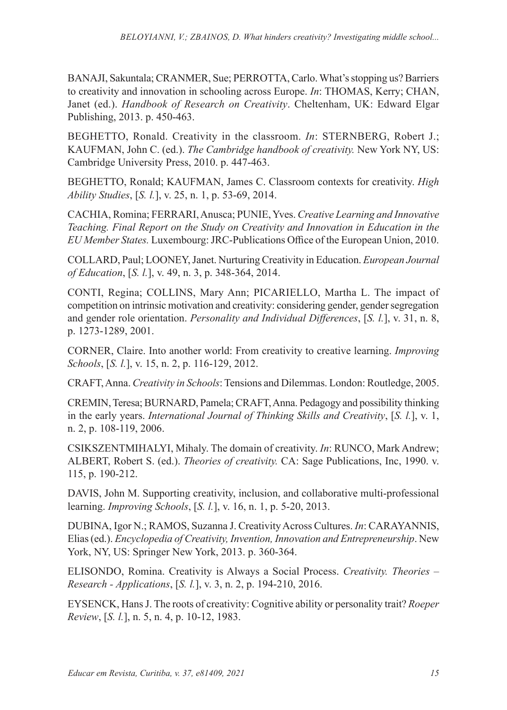BANAJI, Sakuntala; CRANMER, Sue; PERROTTA, Carlo. What's stopping us? Barriers to creativity and innovation in schooling across Europe. *In*: THOMAS, Kerry; CHAN, Janet (ed.). *Handbook of Research on Creativity*. Cheltenham, UK: Edward Elgar Publishing, 2013. p. 450-463.

BEGHETTO, Ronald. Creativity in the classroom. *In*: STERNBERG, Robert J.; KAUFMAN, John C. (ed.). *The Cambridge handbook of creativity.* New York NY, US: Cambridge University Press, 2010. p. 447-463.

BEGHETTO, Ronald; KAUFMAN, James C. Classroom contexts for creativity. *High Ability Studies*, [*S. l.*], v. 25, n. 1, p. 53-69, 2014.

CACHIA, Romina; FERRARI, Anusca; PUNIE, Yves. *Creative Learning and Innovative Teaching. Final Report on the Study on Creativity and Innovation in Education in the EU Member States.* Luxembourg: JRC-Publications Office of the European Union, 2010.

COLLARD, Paul; LOONEY, Janet. Nurturing Creativity in Education. *European Journal of Education*, [*S. l.*], v. 49, n. 3, p. 348-364, 2014.

CONTI, Regina; COLLINS, Mary Ann; PICARIELLO, Martha L. The impact of competition on intrinsic motivation and creativity: considering gender, gender segregation and gender role orientation. *Personality and Individual Differences*, [*S. l.*], v. 31, n. 8, p. 1273-1289, 2001.

CORNER, Claire. Into another world: From creativity to creative learning. *Improving Schools*, [*S. l.*], v. 15, n. 2, p. 116-129, 2012.

CRAFT, Anna. *Creativity in Schools*: Tensions and Dilemmas. London: Routledge, 2005.

CREMIN, Teresa; BURNARD, Pamela; CRAFT, Anna. Pedagogy and possibility thinking in the early years. *International Journal of Thinking Skills and Creativity*, [*S. l.*], v. 1, n. 2, p. 108-119, 2006.

CSIKSZENTMIHALYI, Mihaly. The domain of creativity. *In*: RUNCO, Mark Andrew; ALBERT, Robert S. (ed.). *Theories of creativity.* CA: Sage Publications, Inc, 1990. v. 115, p. 190-212.

DAVIS, John M. Supporting creativity, inclusion, and collaborative multi-professional learning. *Improving Schools*, [*S. l.*], v. 16, n. 1, p. 5-20, 2013.

DUBINA, Igor N.; RAMOS, Suzanna J. Creativity Across Cultures. *In*: CARAYANNIS, Elias (ed.). *Encyclopedia of Creativity, Invention, Innovation and Entrepreneurship*. New York, NY, US: Springer New York, 2013. p. 360-364.

ELISONDO, Romina. Creativity is Always a Social Process. *Creativity. Theories – Research - Applications*, [*S. l.*], v. 3, n. 2, p. 194-210, 2016.

EYSENCK, Hans J. The roots of creativity: Cognitive ability or personality trait? *Roeper Review*, [*S. l.*], n. 5, n. 4, p. 10-12, 1983.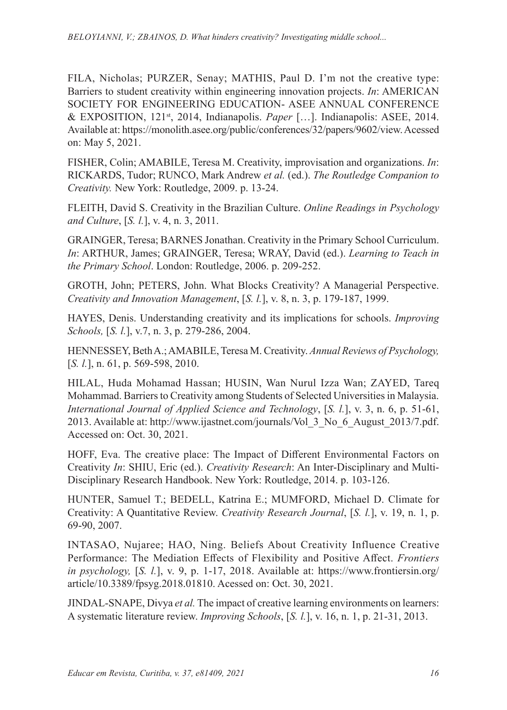FILA, Nicholas; PURZER, Senay; MATHIS, Paul D. I'm not the creative type: Barriers to student creativity within engineering innovation projects. *In*: AMERICAN SOCIETY FOR ENGINEERING EDUCATION- ASEE ANNUAL CONFERENCE & EXPOSITION, 121st, 2014, Indianapolis. *Paper* […]. Indianapolis: ASEE, 2014. Available at: https://monolith.asee.org/public/conferences/32/papers/9602/view. Acessed on: May 5, 2021.

FISHER, Colin; AMABILE, Teresa M. Creativity, improvisation and organizations. *In*: RICKARDS, Tudor; RUNCO, Mark Andrew *et al.* (ed.). *The Routledge Companion to Creativity.* New York: Routledge, 2009. p. 13-24.

FLEITH, David S. Creativity in the Brazilian Culture. *Online Readings in Psychology and Culture*, [*S. l.*], v. 4, n. 3, 2011.

GRAINGER, Teresa; BARNES Jonathan. Creativity in the Primary School Curriculum. *In*: ARTHUR, James; GRAINGER, Teresa; WRAY, David (ed.). *Learning to Teach in the Primary School*. London: Routledge, 2006. p. 209-252.

GROTH, John; PETERS, John. What Blocks Creativity? A Managerial Perspective. *Creativity and Innovation Management*, [*S. l.*], v. 8, n. 3, p. 179-187, 1999.

HAYES, Denis. Understanding creativity and its implications for schools. *Improving Schools,* [*S. l.*], v.7, n. 3, p. 279-286, 2004.

HENNESSEY, Beth A.; AMABILE, Teresa M. Creativity. *Annual Reviews of Psychology,* [*S. l.*], n. 61, p. 569-598, 2010.

HILAL, Huda Mohamad Hassan; HUSIN, Wan Nurul Izza Wan; ZAYED, Tareq Mohammad. Barriers to Creativity among Students of Selected Universities in Malaysia. *International Journal of Applied Science and Technology*, [*S. l.*], v. 3, n. 6, p. 51-61, 2013. Available at: http://www.ijastnet.com/journals/Vol\_3\_No\_6\_August\_2013/7.pdf. Accessed on: Oct. 30, 2021.

HOFF, Eva. The creative place: The Impact of Different Environmental Factors on Creativity *In*: SHIU, Eric (ed.). *Creativity Research*: An Inter-Disciplinary and Multi-Disciplinary Research Handbook. New York: Routledge, 2014. p. 103-126.

HUNTER, Samuel T.; BEDELL, Katrina E.; MUMFORD, Michael D. Climate for Creativity: A Quantitative Review. *Creativity Research Journal*, [*S. l.*], v. 19, n. 1, p. 69-90, 2007.

INTASAO, Nujaree; HAO, Ning. Beliefs About Creativity Influence Creative Performance: The Mediation Effects of Flexibility and Positive Affect. *Frontiers in psychology,* [*S. l.*], v. 9, p. 1-17, 2018. Available at: https://www.frontiersin.org/ article/10.3389/fpsyg.2018.01810. Acessed on: Oct. 30, 2021.

JINDAL-SNAPE, Divya *et al.* The impact of creative learning environments on learners: A systematic literature review. *Improving Schools*, [*S. l.*], v. 16, n. 1, p. 21-31, 2013.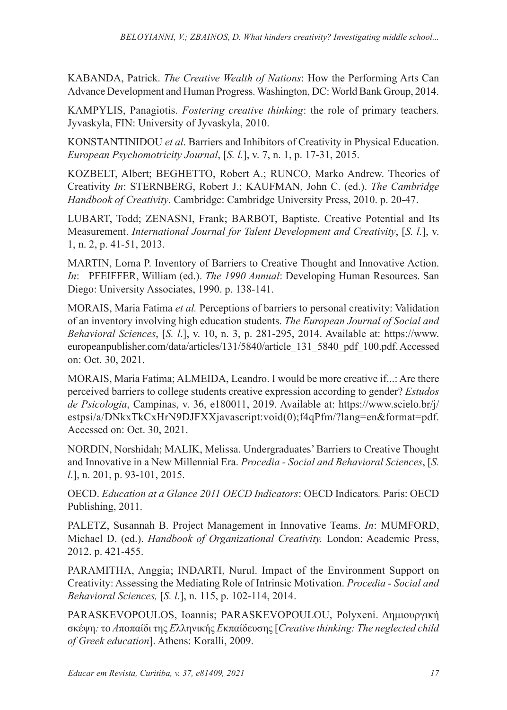KABANDA, Patrick. *The Creative Wealth of Nations*: How the Performing Arts Can Advance Development and Human Progress. Washington, DC: World Bank Group, 2014.

KAMPYLIS, Panagiotis. *Fostering creative thinking*: the role of primary teachers*.* Jyvaskyla, FIN: University of Jyvaskyla, 2010.

KONSTANTINIDOU *et al*. Barriers and Inhibitors of Creativity in Physical Education. *European Psychomotricity Journal*, [*S. l.*], v. 7, n. 1, p. 17-31, 2015.

KOZBELT, Albert; BEGHETTO, Robert A.; RUNCO, Marko Andrew. Theories of Creativity *In*: STERNBERG, Robert J.; KAUFMAN, John C. (ed.). *The Cambridge Handbook of Creativity*. Cambridge: Cambridge University Press, 2010. p. 20-47.

LUBART, Todd; ZENASNI, Frank; BARBOT, Baptiste. Creative Potential and Its Measurement. *International Journal for Talent Development and Creativity*, [*S. l.*], v. 1, n. 2, p. 41-51, 2013.

MARTIN, Lorna P. Inventory of Barriers to Creative Thought and Innovative Action. *In*: PFEIFFER, William (ed.). *The 1990 Annual*: Developing Human Resources. San Diego: University Associates, 1990. p. 138-141.

MORAIS, Maria Fatima *et al.* Perceptions of barriers to personal creativity: Validation of an inventory involving high education students. *The European Journal of Social and Behavioral Sciences*, [*S. l*.], v. 10, n. 3, p. 281-295, 2014. Available at: https://www. europeanpublisher.com/data/articles/131/5840/article\_131\_5840\_pdf\_100.pdf. Accessed on: Oct. 30, 2021.

MORAIS, Maria Fatima; ALMEIDA, Leandro. I would be more creative if...: Are there perceived barriers to college students creative expression according to gender? *Estudos de Psicologia*, Campinas, v. 36, e180011, 2019. Available at: https://www.scielo.br/j/ estpsi/a/DNkxTkCxHrN9DJFXXjavascript:void(0);f4qPfm/?lang=en&format=pdf. Accessed on: Oct. 30, 2021.

NORDIN, Norshidah; MALIK, Melissa. Undergraduates' Barriers to Creative Thought and Innovative in a New Millennial Era. *Procedia - Social and Behavioral Sciences*, [*S. l*.], n. 201, p. 93-101, 2015.

OECD. *Education at a Glance 2011 OECD Indicators*: OECD Indicators*.* Paris: OECD Publishing, 2011.

PALETZ, Susannah B. Project Management in Innovative Teams. *In*: MUMFORD, Michael D. (ed.). *Handbook of Organizational Creativity.* London: Academic Press, 2012. p. 421-455.

PARAMITHA, Anggia; INDARTI, Nurul. Impact of the Environment Support on Creativity: Assessing the Mediating Role of Intrinsic Motivation. *Procedia - Social and Behavioral Sciences,* [*S. l*.], n. 115, p. 102-114, 2014.

PARASKEVOPOULOS, Ioannis; PARASKEVOPOULOU, Polyxeni. Δημιουργική σκέψη*:* το *A*ποπαίδι της *E*λληνικής *E*κπαίδευσης[*Creative thinking: The neglected child of Greek education*]. Athens: Koralli, 2009.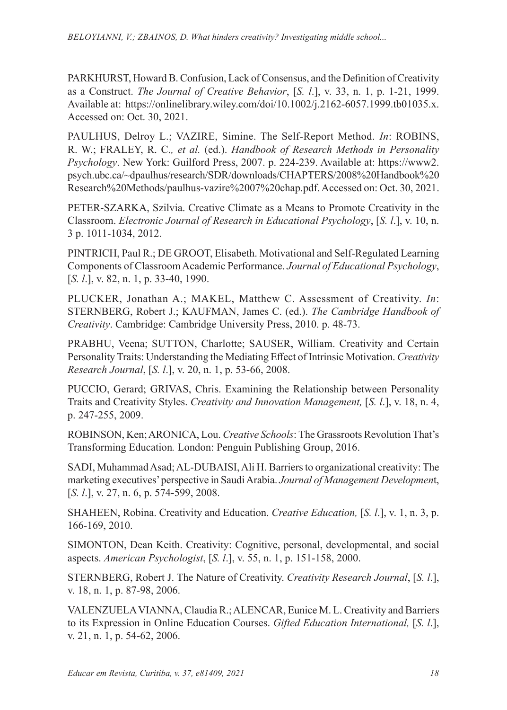PARKHURST, Howard B. Confusion, Lack of Consensus, and the Definition of Creativity as a Construct. *The Journal of Creative Behavior*, [*S. l*.], v. 33, n. 1, p. 1-21, 1999. Available at: https://onlinelibrary.wiley.com/doi/10.1002/j.2162-6057.1999.tb01035.x. Accessed on: Oct. 30, 2021.

PAULHUS, Delroy L.; VAZIRE, Simine. The Self-Report Method. *In*: ROBINS, R. W.; FRALEY, R. C.*, et al.* (ed.). *Handbook of Research Methods in Personality Psychology*. New York: Guilford Press, 2007. p. 224-239. Available at: https://www2. psych.ubc.ca/~dpaulhus/research/SDR/downloads/CHAPTERS/2008%20Handbook%20 Research%20Methods/paulhus-vazire%2007%20chap.pdf. Accessed on: Oct. 30, 2021.

PETER-SZARKA, Szilvia. Creative Climate as a Means to Promote Creativity in the Classroom. *Electronic Journal of Research in Educational Psychology*, [*S. l*.], v. 10, n. 3 p. 1011-1034, 2012.

PINTRICH, Paul R.; DE GROOT, Elisabeth. Motivational and Self-Regulated Learning Components of Classroom Academic Performance. *Journal of Educational Psychology*, [*S. l.*], v. 82, n. 1, p. 33-40, 1990.

PLUCKER, Jonathan A.; MAKEL, Matthew C. Assessment of Creativity. *In*: STERNBERG, Robert J.; KAUFMAN, James C. (ed.). *The Cambridge Handbook of Creativity*. Cambridge: Cambridge University Press, 2010. p. 48-73.

PRABHU, Veena; SUTTON, Charlotte; SAUSER, William. Creativity and Certain Personality Traits: Understanding the Mediating Effect of Intrinsic Motivation. *Creativity Research Journal*, [*S. l*.], v. 20, n. 1, p. 53-66, 2008.

PUCCIO, Gerard; GRIVAS, Chris. Examining the Relationship between Personality Traits and Creativity Styles. *Creativity and Innovation Management,* [*S. l*.], v. 18, n. 4, p. 247-255, 2009.

ROBINSON, Ken; ARONICA, Lou. *Creative Schools*: The Grassroots Revolution That's Transforming Education*.* London: Penguin Publishing Group, 2016.

SADI, Muhammad Asad; AL-DUBAISI, Ali H. Barriers to organizational creativity: The marketing executives' perspective in Saudi Arabia. *Journal of Management Developmen*t, [*S. l.*], v. 27, n. 6, p. 574-599, 2008.

SHAHEEN, Robina. Creativity and Education. *Creative Education,* [*S. l*.], v. 1, n. 3, p. 166-169, 2010.

SIMONTON, Dean Keith. Creativity: Cognitive, personal, developmental, and social aspects. *American Psychologist*, [*S. l*.], v. 55, n. 1, p. 151-158, 2000.

STERNBERG, Robert J. The Nature of Creativity. *Creativity Research Journal*, [*S. l*.], v. 18, n. 1, p. 87-98, 2006.

VALENZUELA VIANNA, Claudia R.; ALENCAR, Eunice M. L. Creativity and Barriers to its Expression in Online Education Courses. *Gifted Education International,* [*S. l*.], v. 21, n. 1, p. 54-62, 2006.